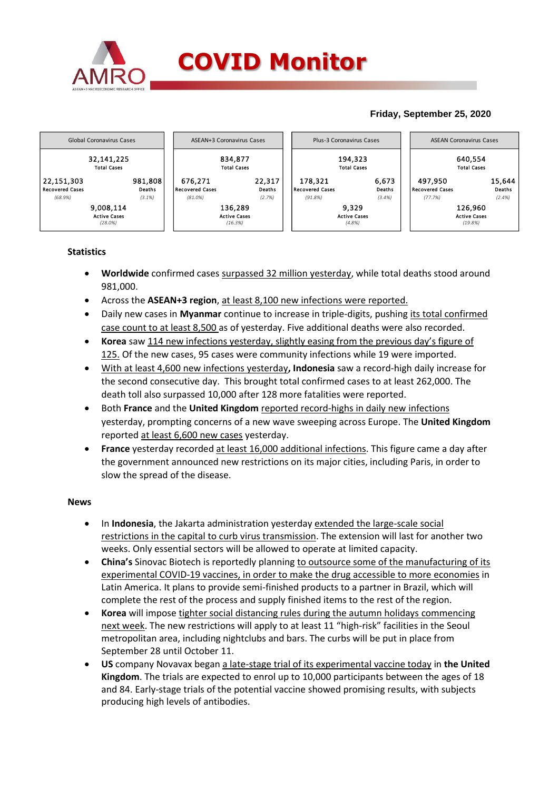

## **Friday, September 25, 2020**



## **Statistics**

- **Worldwide** confirmed cases surpassed 32 million yesterday, while total deaths stood around 981,000.
- Across the **ASEAN+3 region**, at least 8,100 new infections were reported.
- Daily new cases in **Myanmar** continue to increase in triple-digits, pushing its total confirmed case count to at least 8,500 as of yesterday. Five additional deaths were also recorded.
- **Korea** saw 114 new infections yesterday, slightly easing from the previous day's figure of 125. Of the new cases, 95 cases were community infections while 19 were imported.
- With at least 4,600 new infections yesterday**, Indonesia** saw a record-high daily increase for the second consecutive day. This brought total confirmed cases to at least 262,000. The death toll also surpassed 10,000 after 128 more fatalities were reported.
- Both **France** and the **United Kingdom** reported record-highs in daily new infections yesterday, prompting concerns of a new wave sweeping across Europe. The **United Kingdom** reported at least 6,600 new cases yesterday.
- **France** yesterday recorded at least 16,000 additional infections. This figure came a day after the government announced new restrictions on its major cities, including Paris, in order to slow the spread of the disease.

## **News**

- In **Indonesia**, the Jakarta administration yesterday extended the large-scale social restrictions in the capital to curb virus transmission. The extension will last for another two weeks. Only essential sectors will be allowed to operate at limited capacity.
- **China's** Sinovac Biotech is reportedly planning to outsource some of the manufacturing of its experimental COVID-19 vaccines, in order to make the drug accessible to more economies in Latin America. It plans to provide semi-finished products to a partner in Brazil, which will complete the rest of the process and supply finished items to the rest of the region.
- **Korea** will impose tighter social distancing rules during the autumn holidays commencing next week. The new restrictions will apply to at least 11 "high-risk" facilities in the Seoul metropolitan area, including nightclubs and bars. The curbs will be put in place from September 28 until October 11.
- **US** company Novavax began a late-stage trial of its experimental vaccine today in **the United Kingdom**. The trials are expected to enrol up to 10,000 participants between the ages of 18 and 84. Early-stage trials of the potential vaccine showed promising results, with subjects producing high levels of antibodies.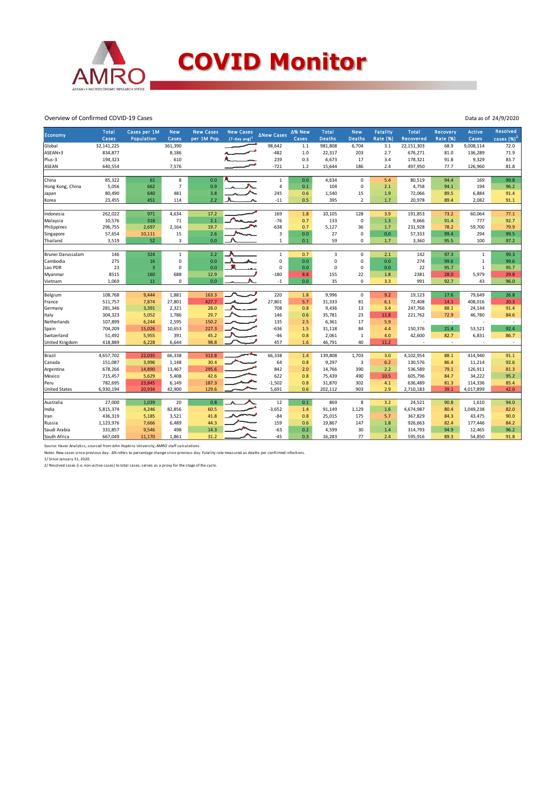

Overview of Confirmed COVID-19 Cases

| Economy               | <b>Total</b> | Cases per 1M   | <b>New</b>     | <b>New Cases</b> | <b>New Cases</b> | <b>ANew Cases</b> | Δ% New | Total         | <b>New</b>     | <b>Fatality</b> | Total      | Recovery                 | <b>Active</b> | <b>Resolved</b>          |
|-----------------------|--------------|----------------|----------------|------------------|------------------|-------------------|--------|---------------|----------------|-----------------|------------|--------------------------|---------------|--------------------------|
|                       | Cases        | Population     | Cases          | per 1M Pop.      | $(7-day avg)^1$  |                   | Cases  | <b>Deaths</b> | <b>Deaths</b>  | <b>Rate (%)</b> | Recovered  | Rate (%)                 | Cases         | cases $(%)2$             |
| Global                | 32,141,225   |                | 361,390        |                  |                  | 98,642            | 1.1    | 981,808       | 6,704          | 3.1             | 22,151,303 | 68.9                     | 9,008,114     | 72.0                     |
| ASEAN+3               | 834,877      |                | 8,186          |                  |                  | $-482$            | 1.0    | 22,317        | 203            | 2.7             | 676,271    | 81.0                     | 136,289       | 71.9                     |
| Plus-3                | 194,323      |                | 610            |                  |                  | 239               | 0.3    | 6,673         | 17             | 3.4             | 178,321    | 91.8                     | 9,329         | 83.7                     |
| <b>ASEAN</b>          | 640,554      |                | 7,576          |                  |                  | $-721$            | 1.2    | 15,644        | 186            | 2.4             | 497,950    | 77.7                     | 126,960       | 81.8                     |
|                       |              |                |                |                  |                  |                   |        |               |                |                 |            |                          |               |                          |
| China                 | 85,322       | 61             | 8              | 0.0              |                  | $\mathbf{1}$      | 0.0    | 4,634         | $\mathbf 0$    | 5.4             | 80,519     | 94.4                     | 169           | 99.8                     |
| Hong Kong, China      | 5,056        | 662            | $\overline{7}$ | 0.9              |                  | $\overline{4}$    | 0.1    | 104           | $\mathsf 0$    | 2.1             | 4,758      | 94.1                     | 194           | 96.2                     |
| Japan                 | 80,490       | 640            | 481            | 3.8              |                  | 245               | 0.6    | 1,540         | 15             | 1.9             | 72,066     | 89.5                     | 6,884         | 91.4                     |
| Korea                 | 23,455       | 451            | 114            | 2.2              |                  | $-11$             | 0.5    | 395           | $\overline{2}$ | 1.7             | 20,978     | 89.4                     | 2,082         | 91.1                     |
|                       |              |                |                |                  |                  |                   |        |               |                |                 |            |                          |               |                          |
| Indonesia             | 262,022      | 971            | 4,634          | 17.2             |                  | 169               | 1.8    | 10,105        | 128            | 3.9             | 191,853    | 73.2                     | 60,064        | 77.1                     |
| Malaysia              | 10,576       | 318            | 71             | 2.1              |                  | $-76$             | 0.7    | 133           | $\pmb{0}$      | 1.3             | 9,666      | 91.4                     | 777           | 92.7                     |
| Philippines           | 296,755      | 2,697          | 2,164          | 19.7             |                  | $-638$            | 0.7    | 5,127         | 36             | 1.7             | 231,928    | 78.2                     | 59,700        | 79.9                     |
| Singapore             | 57,654       | 10,111         | 15             | 2.6              |                  | 3                 | 0.0    | 27            | $\pmb{0}$      | 0.0             | 57,333     | 99.4                     | 294           | 99.5                     |
| Thailand              | 3,519        | 52             | 3              | 0.0              |                  | $\mathbf{1}$      | 0.1    | 59            | 0              | 1.7             | 3,360      | 95.5                     | 100           | 97.2                     |
|                       |              |                |                |                  |                  |                   |        |               |                |                 |            |                          |               |                          |
| Brunei Darussalam     | 146          | 324            | $\mathbf 1$    | 2.2              |                  | $\mathbf{1}$      | 0.7    | 3             | $\mathsf 0$    | 2.1             | 142        | 97.3                     | $\mathbf{1}$  | 99.3                     |
| Cambodia              | 275          | 16             | $\mathbf 0$    | 0.0              |                  | $\mathbf 0$       | 0.0    | $\mathbf 0$   | $\mathbf 0$    | 0.0             | 274        | 99.6                     | $\mathbf{1}$  | 99.6                     |
| Lao PDR               | 23           | $\overline{3}$ | $\Omega$       | 0.0              |                  | 0                 | 0.0    | $\mathbf 0$   | $\mathbf 0$    | 0.0             | 22         | 95.7                     | $\,1\,$       | 95.7                     |
| Myanmar               | 8515         | 160            | 688            | 12.9             |                  | $-180$            | 8.8    | 155           | 22             | 1.8             | 2381       | 28.0                     | 5,979         | 29.8                     |
| Vietnam               | 1,069        | 11             | 0              | 0.0              |                  | $-1$              | 0.0    | 35            | $\mathbf 0$    | 3.3             | 991        | 92.7                     | 43            | 96.0                     |
|                       |              |                |                |                  |                  |                   |        |               |                |                 |            |                          |               |                          |
| Belgium               | 108,768      | 9,444          | 1,881          | 163.3            |                  | 220               | 1.8    | 9,996         | $\mathsf 0$    | 9.2             | 19,123     | 17.6                     | 79,649        | 26.8                     |
| France                | 511,757      | 7,874          | 27,801         | 427.7            |                  | 27,801            | 5.7    | 31,333        | 81             | 6.1             | 72,408     | 14.1                     | 408,016       | 20.3                     |
| Germany               | 281,346      | 3,391          | 2,321          | 28.0             |                  | 708               | 0.8    | 9,436         | 13             | 3.4             | 247,766    | 88.1                     | 24,144        | 91.4                     |
| Italy                 | 304,323      | 5,052          | 1,786          | 29.7             |                  | 146               | 0.6    | 35,781        | 23             | 11.8            | 221,762    | 72.9                     | 46,780        | 84.6                     |
| Netherlands           | 107,899      | 6,244          | 2,595          | 150.2            |                  | 135               | 2.5    | 6,361         | 17             | 5.9             | ł,         | $\sim$                   |               | $\overline{\phantom{a}}$ |
| Spain                 | 704,209      | 15,026         | 10,653         | 227.3            |                  | $-636$            | 1.5    | 31,118        | 84             | 4.4             | 150,376    | 21.4                     | 53,521        | 92.4                     |
| Switzerland           | 51,492       | 5,955          | 391            | 45.2             |                  | $-46$             | 0.8    | 2,061         | $\mathbf 1$    | 4.0             | 42,600     | 82.7                     | 6,831         | 86.7                     |
| <b>United Kingdom</b> | 418,889      | 6,228          | 6,644          | 98.8             |                  | 457               | 1.6    | 46,791        | 40             | 11.2            |            | $\overline{\phantom{a}}$ |               | $\sim$                   |
|                       |              |                |                |                  |                  |                   |        |               |                |                 |            |                          |               |                          |
| Brazil                | 4,657,702    | 22,035         | 66,338         | 313.8            |                  | 66,338            | 1.4    | 139,808       | 1,703          | 3.0             | 4,102,954  | 88.1                     | 414,940       | 91.1                     |
| Canada                | 151,087      | 3,996          | 1,148          | 30.4             |                  | 64                | 0.8    | 9,297         | 3              | 6.2             | 130,576    | 86.4                     | 11,214        | 92.6                     |
| Argentina             | 678,266      | 14,890         | 13,467         | 295.6            |                  | 842               | 2.0    | 14,766        | 390            | 2.2             | 536,589    | 79.1                     | 126,911       | 81.3                     |
| Mexico                | 715,457      | 5,629          | 5,408          | 42.6             |                  | 622               | 0.8    | 75,439        | 490            | 10.5            | 605,796    | 84.7                     | 34,222        | 95.2                     |
| Peru                  | 782,695      | 23,845         | 6,149          | 187.3            |                  | $-1,502$          | 0.8    | 31,870        | 302            | 4.1             | 636,489    | 81.3                     | 114,336       | 85.4                     |
| <b>United States</b>  | 6,930,194    | 20,934         | 42,900         | 129.6            |                  | 5,691             | 0.6    | 202,112       | 903            | 2.9             | 2,710,183  | 39.1                     | 4,017,899     | 42.0                     |
|                       |              |                |                | 0.8              |                  |                   |        |               |                |                 |            |                          |               |                          |
| Australia             | 27,000       | 1,039          | 20             |                  |                  | 12                | 0.1    | 869           | 8              | 3.2             | 24,521     | 90.8                     | 1,610         | 94.0                     |
| India                 | 5,815,374    | 4,246          | 82,856         | 60.5             |                  | $-3,652$          | 1.4    | 91,149        | 1,129          | 1.6             | 4,674,987  | 80.4                     | 1,049,238     | 82.0                     |
| Iran                  | 436,319      | 5,185          | 3,521          | 41.8             |                  | $-84$             | 0.8    | 25,015        | 175            | 5.7             | 367,829    | 84.3                     | 43,475        | 90.0                     |
| Russia                | 1,123,976    | 7,666          | 6,489          | 44.3             |                  | 159               | 0.6    | 19,867        | 147            | 1.8             | 926,663    | 82.4                     | 177,446       | 84.2                     |
| Saudi Arabia          | 331,857      | 9,546          | 498            | 14.3             |                  | $-63$             | 0.2    | 4,599         | 30             | 1.4             | 314,793    | 94.9                     | 12,465        | 96.2                     |
| South Africa          | 667,049      | 11,170         | 1,861          | 31.2             |                  | $-45$             | 0.3    | 16,283        | 77             | 2.4             | 595,916    | 89.3                     | 54,850        | 91.8                     |

Source: Haver Analytics, sourced from John Hopkins University; AMRO staff calculations.<br>Notes: New cases since previous day. Δ% refers to percentage change since previous day. Fatality rate measured as deaths per confirmed

Data as of 24/9/2020